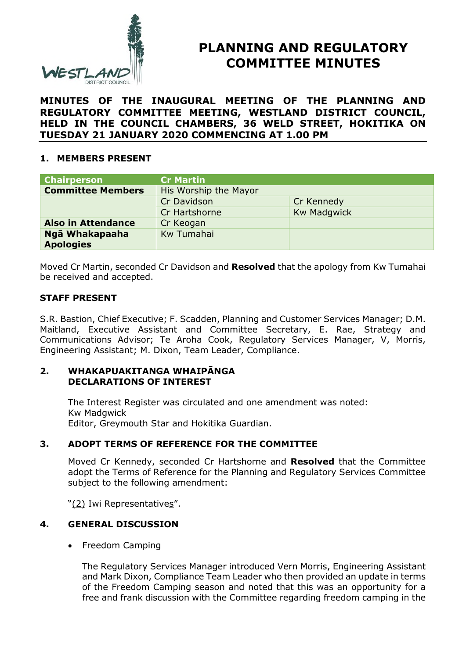

# **PLANNING AND REGULATORY COMMITTEE MINUTES**

**MINUTES OF THE INAUGURAL MEETING OF THE PLANNING AND REGULATORY COMMITTEE MEETING, WESTLAND DISTRICT COUNCIL, HELD IN THE COUNCIL CHAMBERS, 36 WELD STREET, HOKITIKA ON TUESDAY 21 JANUARY 2020 COMMENCING AT 1.00 PM**

## **1. MEMBERS PRESENT**

| <b>Chairperson</b>        | <b>Cr Martin</b>      |                    |
|---------------------------|-----------------------|--------------------|
| <b>Committee Members</b>  | His Worship the Mayor |                    |
|                           | Cr Davidson           | Cr Kennedy         |
|                           | Cr Hartshorne         | <b>Kw Madgwick</b> |
| <b>Also in Attendance</b> | Cr Keogan             |                    |
| Ngā Whakapaaha            | Kw Tumahai            |                    |
| <b>Apologies</b>          |                       |                    |

Moved Cr Martin, seconded Cr Davidson and **Resolved** that the apology from Kw Tumahai be received and accepted.

## **STAFF PRESENT**

S.R. Bastion, Chief Executive; F. Scadden, Planning and Customer Services Manager; D.M. Maitland, Executive Assistant and Committee Secretary, E. Rae, Strategy and Communications Advisor; Te Aroha Cook, Regulatory Services Manager, V, Morris, Engineering Assistant; M. Dixon, Team Leader, Compliance.

#### **2. WHAKAPUAKITANGA WHAIPĀNGA DECLARATIONS OF INTEREST**

The Interest Register was circulated and one amendment was noted: Kw Madgwick Editor, Greymouth Star and Hokitika Guardian.

## **3. ADOPT TERMS OF REFERENCE FOR THE COMMITTEE**

Moved Cr Kennedy, seconded Cr Hartshorne and **Resolved** that the Committee adopt the Terms of Reference for the Planning and Regulatory Services Committee subject to the following amendment:

"(2) Iwi Representatives".

## **4. GENERAL DISCUSSION**

• Freedom Camping

The Regulatory Services Manager introduced Vern Morris, Engineering Assistant and Mark Dixon, Compliance Team Leader who then provided an update in terms of the Freedom Camping season and noted that this was an opportunity for a free and frank discussion with the Committee regarding freedom camping in the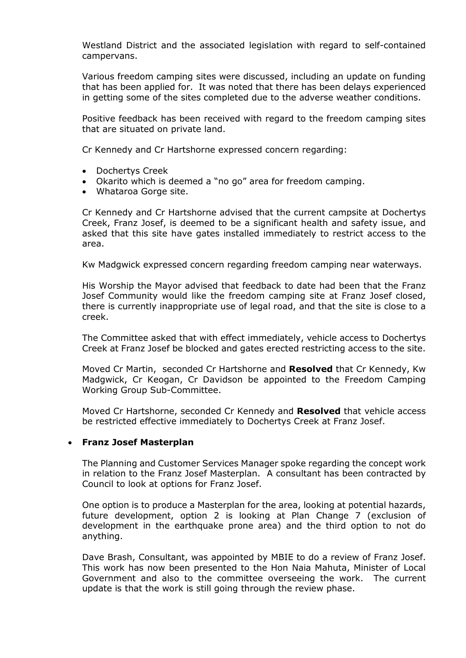Westland District and the associated legislation with regard to self-contained campervans.

Various freedom camping sites were discussed, including an update on funding that has been applied for. It was noted that there has been delays experienced in getting some of the sites completed due to the adverse weather conditions.

Positive feedback has been received with regard to the freedom camping sites that are situated on private land.

Cr Kennedy and Cr Hartshorne expressed concern regarding:

- Dochertys Creek
- Okarito which is deemed a "no go" area for freedom camping.
- Whataroa Gorge site.

Cr Kennedy and Cr Hartshorne advised that the current campsite at Dochertys Creek, Franz Josef, is deemed to be a significant health and safety issue, and asked that this site have gates installed immediately to restrict access to the area.

Kw Madgwick expressed concern regarding freedom camping near waterways.

His Worship the Mayor advised that feedback to date had been that the Franz Josef Community would like the freedom camping site at Franz Josef closed, there is currently inappropriate use of legal road, and that the site is close to a creek.

The Committee asked that with effect immediately, vehicle access to Dochertys Creek at Franz Josef be blocked and gates erected restricting access to the site.

Moved Cr Martin, seconded Cr Hartshorne and **Resolved** that Cr Kennedy, Kw Madgwick, Cr Keogan, Cr Davidson be appointed to the Freedom Camping Working Group Sub-Committee.

Moved Cr Hartshorne, seconded Cr Kennedy and **Resolved** that vehicle access be restricted effective immediately to Dochertys Creek at Franz Josef.

#### **Franz Josef Masterplan**

The Planning and Customer Services Manager spoke regarding the concept work in relation to the Franz Josef Masterplan. A consultant has been contracted by Council to look at options for Franz Josef.

One option is to produce a Masterplan for the area, looking at potential hazards, future development, option 2 is looking at Plan Change 7 (exclusion of development in the earthquake prone area) and the third option to not do anything.

Dave Brash, Consultant, was appointed by MBIE to do a review of Franz Josef. This work has now been presented to the Hon Naia Mahuta, Minister of Local Government and also to the committee overseeing the work. The current update is that the work is still going through the review phase.